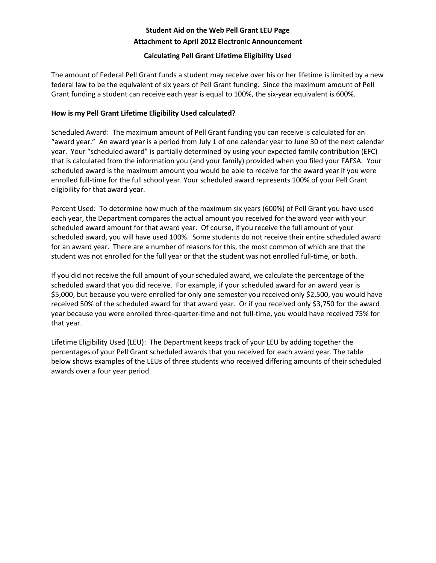# **Student Aid on the Web Pell Grant LEU Page Attachment to April 2012 Electronic Announcement**

### **Calculating Pell Grant Lifetime Eligibility Used**

The amount of Federal Pell Grant funds a student may receive over his or her lifetime is limited by a new federal law to be the equivalent of six years of Pell Grant funding. Since the maximum amount of Pell Grant funding a student can receive each year is equal to 100%, the six-year equivalent is 600%.

### **How is my Pell Grant Lifetime Eligibility Used calculated?**

Scheduled Award: The maximum amount of Pell Grant funding you can receive is calculated for an "award year." An award year is a period from July 1 of one calendar year to June 30 of the next calendar year. Your "scheduled award" is partially determined by using your expected family contribution (EFC) that is calculated from the information you (and your family) provided when you filed your FAFSA. Your scheduled award is the maximum amount you would be able to receive for the award year if you were enrolled full-time for the full school year. Your scheduled award represents 100% of your Pell Grant eligibility for that award year.

Percent Used: To determine how much of the maximum six years (600%) of Pell Grant you have used each year, the Department compares the actual amount you received for the award year with your scheduled award amount for that award year. Of course, if you receive the full amount of your scheduled award, you will have used 100%. Some students do not receive their entire scheduled award for an award year. There are a number of reasons for this, the most common of which are that the student was not enrolled for the full year or that the student was not enrolled full-time, or both.

If you did not receive the full amount of your scheduled award, we calculate the percentage of the scheduled award that you did receive. For example, if your scheduled award for an award year is \$5,000, but because you were enrolled for only one semester you received only \$2,500, you would have received 50% of the scheduled award for that award year. Or if you received only \$3,750 for the award year because you were enrolled three-quarter-time and not full-time, you would have received 75% for that year.

Lifetime Eligibility Used (LEU): The Department keeps track of your LEU by adding together the percentages of your Pell Grant scheduled awards that you received for each award year. The table below shows examples of the LEUs of three students who received differing amounts of their scheduled awards over a four year period.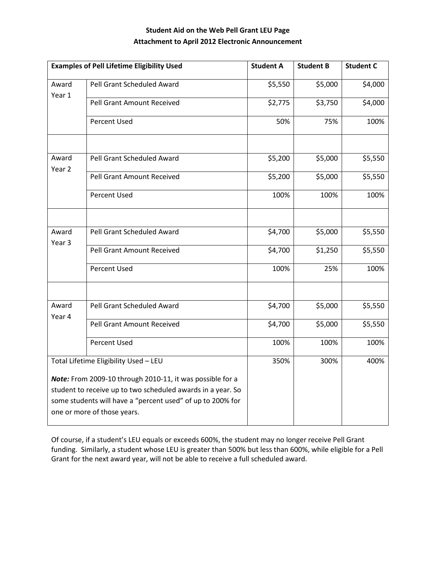# **Student Aid on the Web Pell Grant LEU Page Attachment to April 2012 Electronic Announcement**

| <b>Examples of Pell Lifetime Eligibility Used</b>                                                                                                                                                                     |                            | <b>Student A</b> | <b>Student B</b> | <b>Student C</b> |
|-----------------------------------------------------------------------------------------------------------------------------------------------------------------------------------------------------------------------|----------------------------|------------------|------------------|------------------|
| Award<br>Year 1                                                                                                                                                                                                       | Pell Grant Scheduled Award | \$5,550          | \$5,000          | \$4,000          |
|                                                                                                                                                                                                                       | Pell Grant Amount Received | \$2,775          | \$3,750          | \$4,000          |
|                                                                                                                                                                                                                       | <b>Percent Used</b>        | 50%              | 75%              | 100%             |
|                                                                                                                                                                                                                       |                            |                  |                  |                  |
| Award<br>Year <sub>2</sub>                                                                                                                                                                                            | Pell Grant Scheduled Award | \$5,200          | \$5,000          | \$5,550          |
|                                                                                                                                                                                                                       | Pell Grant Amount Received | \$5,200          | \$5,000          | \$5,550          |
|                                                                                                                                                                                                                       | <b>Percent Used</b>        | 100%             | 100%             | 100%             |
|                                                                                                                                                                                                                       |                            |                  |                  |                  |
| Award<br>Year 3                                                                                                                                                                                                       | Pell Grant Scheduled Award | \$4,700          | \$5,000          | \$5,550          |
|                                                                                                                                                                                                                       | Pell Grant Amount Received | \$4,700          | \$1,250          | \$5,550          |
|                                                                                                                                                                                                                       | <b>Percent Used</b>        | 100%             | 25%              | 100%             |
|                                                                                                                                                                                                                       |                            |                  |                  |                  |
| Award<br>Year 4                                                                                                                                                                                                       | Pell Grant Scheduled Award | \$4,700          | \$5,000          | \$5,550          |
|                                                                                                                                                                                                                       | Pell Grant Amount Received | \$4,700          | \$5,000          | \$5,550          |
|                                                                                                                                                                                                                       | <b>Percent Used</b>        | 100%             | 100%             | 100%             |
| Total Lifetime Eligibility Used - LEU                                                                                                                                                                                 |                            | 350%             | 300%             | 400%             |
| Note: From 2009-10 through 2010-11, it was possible for a<br>student to receive up to two scheduled awards in a year. So<br>some students will have a "percent used" of up to 200% for<br>one or more of those years. |                            |                  |                  |                  |

Of course, if a student's LEU equals or exceeds 600%, the student may no longer receive Pell Grant funding. Similarly, a student whose LEU is greater than 500% but less than 600%, while eligible for a Pell Grant for the next award year, will not be able to receive a full scheduled award.